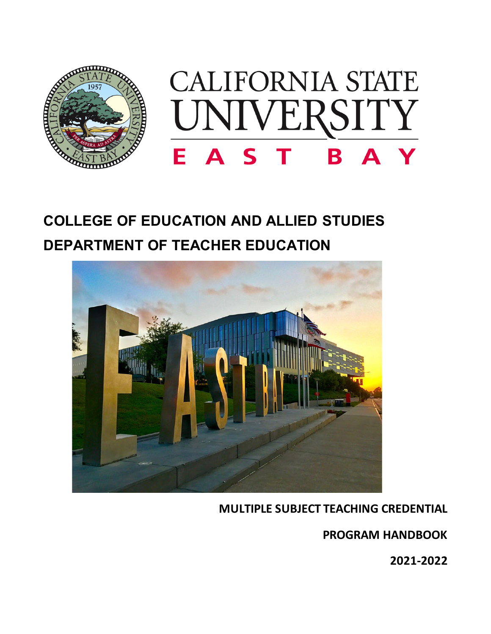

# **COLLEGE OF EDUCATION AND ALLIED STUDIES DEPARTMENT OF TEACHER EDUCATION**



# **MULTIPLE SUBJECT TEACHING CREDENTIAL**

**PROGRAM HANDBOOK**

**2021-2022**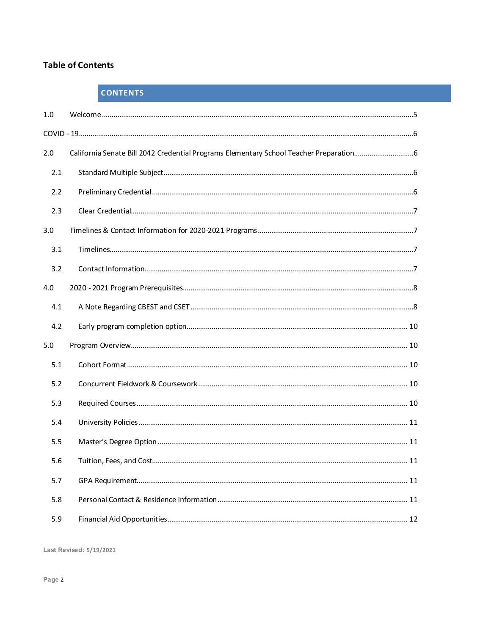# **Table of Contents**

# **CONTENTS**

| 1.0 |  |
|-----|--|
|     |  |
| 2.0 |  |
| 2.1 |  |
| 2.2 |  |
| 2.3 |  |
| 3.0 |  |
| 3.1 |  |
| 3.2 |  |
| 4.0 |  |
| 4.1 |  |
| 4.2 |  |
| 5.0 |  |
| 5.1 |  |
| 5.2 |  |
| 5.3 |  |
| 5.4 |  |
| 5.5 |  |
| 5.6 |  |
| 5.7 |  |
| 5.8 |  |
| 5.9 |  |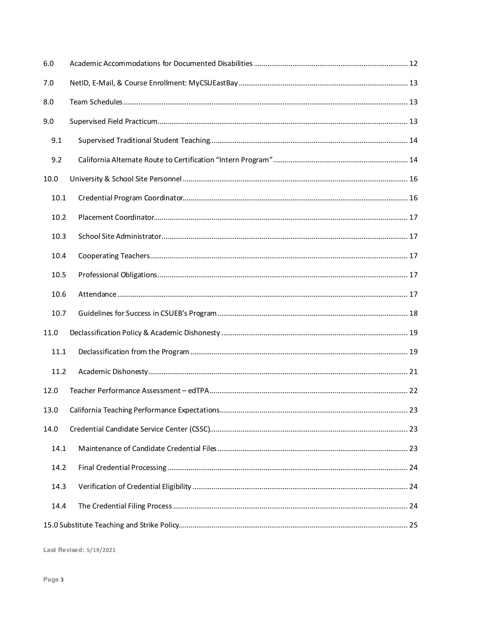| 6.0  |  |  |  |  |  |
|------|--|--|--|--|--|
| 7.0  |  |  |  |  |  |
| 8.0  |  |  |  |  |  |
| 9.0  |  |  |  |  |  |
| 9.1  |  |  |  |  |  |
| 9.2  |  |  |  |  |  |
| 10.0 |  |  |  |  |  |
| 10.1 |  |  |  |  |  |
| 10.2 |  |  |  |  |  |
| 10.3 |  |  |  |  |  |
| 10.4 |  |  |  |  |  |
| 10.5 |  |  |  |  |  |
| 10.6 |  |  |  |  |  |
| 10.7 |  |  |  |  |  |
| 11.0 |  |  |  |  |  |
| 11.1 |  |  |  |  |  |
| 11.2 |  |  |  |  |  |
| 12.0 |  |  |  |  |  |
| 13.0 |  |  |  |  |  |
| 14.0 |  |  |  |  |  |
| 14.1 |  |  |  |  |  |
| 14.2 |  |  |  |  |  |
| 14.3 |  |  |  |  |  |
| 14.4 |  |  |  |  |  |
|      |  |  |  |  |  |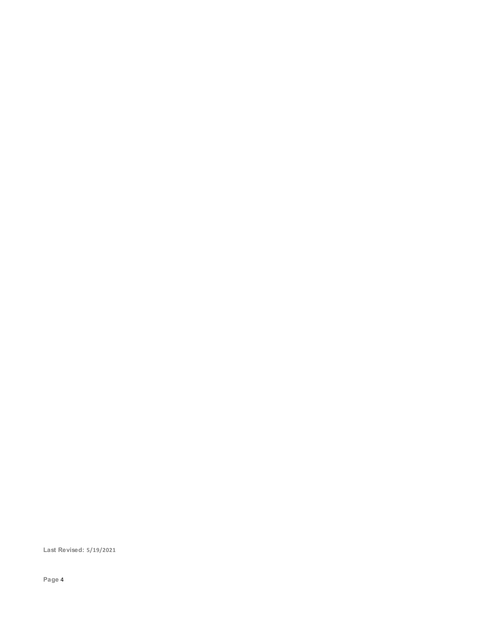**Last Revised: 5/19/2021**

**Page** 4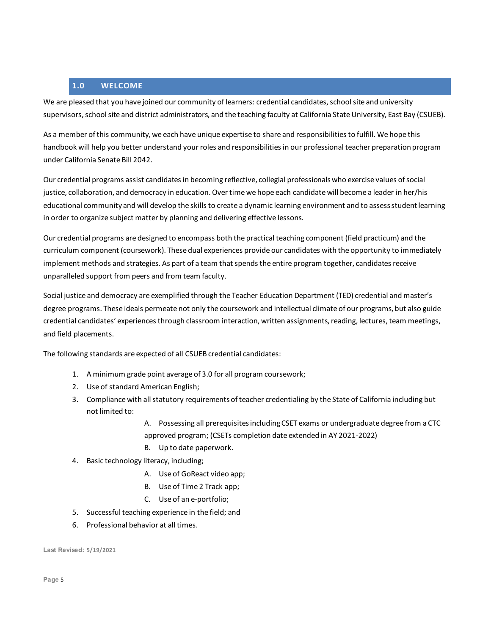# **1.0 WELCOME**

<span id="page-4-0"></span>We are pleased that you have joined our community of learners: credential candidates, school site and university supervisors, school site and district administrators, and the teaching faculty at California State University, East Bay (CSUEB).

As a member of this community, we each have unique expertise to share and responsibilities to fulfill. We hope this handbook will help you better understand your roles and responsibilities in our professional teacher preparation program under California Senate Bill 2042.

Our credential programs assist candidates in becoming reflective, collegial professionals who exercise values of social justice, collaboration, and democracy in education. Over time we hope each candidate will become a leader in her/his educational community and will develop the skills to create a dynamic learning environment and to assess student learning in order to organize subject matter by planning and delivering effective lessons.

Our credential programs are designed to encompass both the practical teaching component (field practicum) and the curriculum component (coursework). These dual experiences provide our candidates with the opportunity to immediately implement methods and strategies. As part of a team that spends the entire program together, candidates receive unparalleled support from peers and from team faculty.

Social justice and democracy are exemplified through the Teacher Education Department (TED) credential and master's degree programs. These ideals permeate not only the coursework and intellectual climate of our programs, but also guide credential candidates' experiences through classroom interaction, written assignments, reading, lectures, team meetings, and field placements.

The following standards are expected of all CSUEB credential candidates:

- 1. A minimum grade point average of 3.0 for all program coursework;
- 2. Use of standard American English;
- 3. Compliance with all statutory requirements of teacher credentialing by the State of California including but not limited to:

A. Possessing all prerequisites including CSET exams or undergraduate degree from a CTC approved program; (CSETs completion date extended in AY 2021-2022) B. Up to date paperwork.

- 4. Basic technology literacy, including;
	- A. Use of GoReact video app;
	- B. Use of Time 2 Track app;
	- C. Use of an e-portfolio;
- 5. Successful teaching experience in the field; and
- 6. Professional behavior at all times.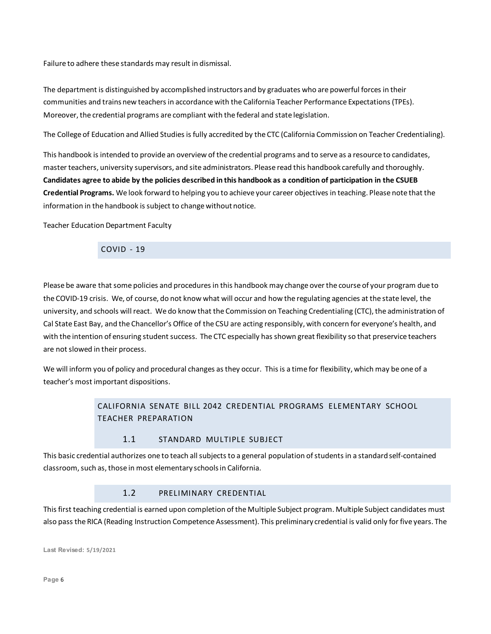Failure to adhere these standards may result in dismissal.

The department is distinguished by accomplished instructors and by graduates who are powerful forces in their communities and trains new teachers in accordance with the California Teacher Performance Expectations (TPEs). Moreover, the credential programs are compliant with the federal and state legislation.

The College of Education and Allied Studies is fully accredited by the CTC (California Commission on Teacher Credentialing).

This handbook is intended to provide an overview of the credential programs and to serve as a resource to candidates, master teachers, university supervisors, and site administrators. Please read this handbook carefully and thoroughly. **Candidates agree to abide by the policies described in this handbook as a condition of participation in the CSUEB Credential Programs.** We look forward to helping you to achieve your career objectives in teaching. Please note that the information in the handbook is subject to change without notice.

<span id="page-5-0"></span>Teacher Education Department Faculty

COVID - 19

Please be aware that some policies and procedures in this handbook may change over the course of your program due to the COVID-19 crisis. We, of course, do not know what will occur and how the regulating agencies at the state level, the university, and schools will react. We do know that the Commission on Teaching Credentialing (CTC), the administration of Cal State East Bay, and the Chancellor's Office of the CSU are acting responsibly, with concern for everyone's health, and with the intention of ensuring student success. The CTC especially has shown great flexibility so that preservice teachers are not slowed in their process.

<span id="page-5-1"></span>We will inform you of policy and procedural changes as they occur. This is a time for flexibility, which may be one of a teacher's most important dispositions.

> CALIFORNIA SENATE BILL 2042 CREDENTIAL PROGRAMS ELEMENTARY SCHOOL TEACHER PREPARATION

#### 1.1 STANDARD MULTIPLE SUBJECT

<span id="page-5-2"></span>This basic credential authorizes one to teach all subjects to a general population of students in a standard self-contained classroom, such as, those in most elementary schools in California.

#### 1.2 PRELIMINARY CREDENTIAL

<span id="page-5-3"></span>This first teaching credential is earned upon completion of the Multiple Subject program. Multiple Subject candidates must also pass the RICA (Reading Instruction Competence Assessment). This preliminary credential is valid only for five years. The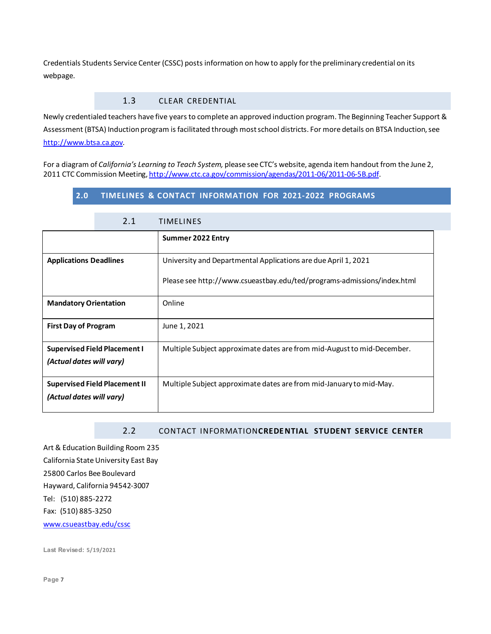Credentials Students Service Center (CSSC) posts information on how to apply for the preliminary credential on its webpage.

# 1.3 CLEAR CREDENTIAL

<span id="page-6-0"></span>Newly credentialed teachers have five years to complete an approved induction program. The Beginning Teacher Support & Assessment (BTSA) Induction program is facilitated through most school districts. For more details on BTSA Induction, see [http://www.btsa.ca.gov.](http://www.btsa.ca.gov/)

<span id="page-6-1"></span>For a diagram of *California's Learning to Teach System,* please see CTC's website, agenda item handout from the June 2, 2011 CTC Commission Meeting[, http://www.ctc.ca.gov/commission/agendas/2011-06/2011-06-5B.pdf.](http://www.ctc.ca.gov/commission/agendas/2011-06/2011-06-5B.pdf)

# **2.0 TIMELINES & CONTACT INFORMATION FOR 2021-2022 PROGRAMS**

<span id="page-6-2"></span>

|                                                                  | 2.1 | <b>TIMELINES</b>                                                        |
|------------------------------------------------------------------|-----|-------------------------------------------------------------------------|
|                                                                  |     | Summer 2022 Entry                                                       |
| <b>Applications Deadlines</b>                                    |     | University and Departmental Applications are due April 1, 2021          |
|                                                                  |     | Please see http://www.csueastbay.edu/ted/programs-admissions/index.html |
| <b>Mandatory Orientation</b>                                     |     | Online                                                                  |
| <b>First Day of Program</b>                                      |     | June 1, 2021                                                            |
| <b>Supervised Field Placement I</b><br>(Actual dates will vary)  |     | Multiple Subject approximate dates are from mid-August to mid-December. |
| <b>Supervised Field Placement II</b><br>(Actual dates will vary) |     | Multiple Subject approximate dates are from mid-January to mid-May.     |

#### 2.2 CONTACT INFORMATION**CREDENTIAL STUDENT SERVICE CENTER**

<span id="page-6-3"></span>Art & Education Building Room 235 California State University East Bay 25800 Carlos Bee Boulevard Hayward, California 94542-3007 Tel: (510) 885-2272 Fax: (510) 885-3250 [www.csueastbay.edu/cssc](http://www.csueastbay.edu/cssc)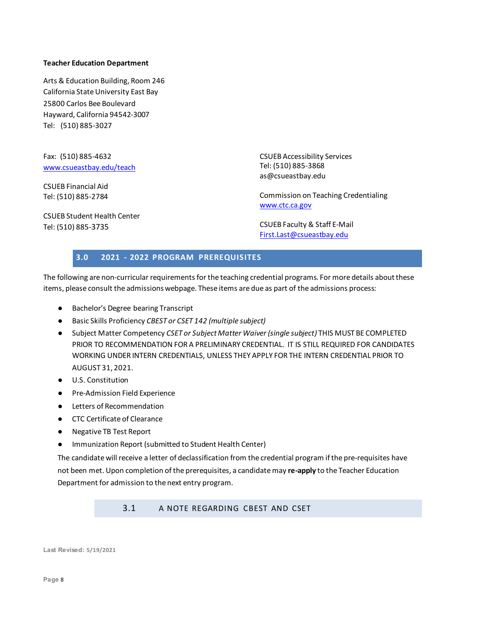#### **Teacher Education Department**

Arts & Education Building, Room 246 California State University East Bay 25800 Carlos Bee Boulevard Hayward, California 94542-3007 Tel: (510) 885-3027

Fax: (510) 885-4632 [www.csueastbay.edu/teach](http://www.csueastbay.edu/teach)

CSUEB Financial Aid Tel: (510) 885-2784

CSUEB Student Health Center Tel: (510) 885-3735

CSUEB Accessibility Services Tel: (510) 885-3868 as@csueastbay.edu

Commission on Teaching Credentialing [www.ctc.ca.gov](http://www.ctc.ca.gov/)

<span id="page-7-0"></span>CSUEB Faculty & Staff E-Mail [First.Last@csueastbay.edu](mailto:First.Last@csueastbay.edu)

#### **3.0 2021 - 2022 PROGRAM PREREQUISITES**

The following are non-curricular requirements for the teaching credential programs. For more details about these items, please consult the admissions webpage. These items are due as part of the admissions process:

- Bachelor's Degree bearing Transcript
- Basic Skills Proficiency *CBEST or CSET 142 (multiple subject)*
- Subject Matter Competency *CSET or Subject Matter Waiver (single subject)* THIS MUST BE COMPLETED PRIOR TO RECOMMENDATION FOR A PRELIMINARY CREDENTIAL. IT IS STILL REQUIRED FOR CANDIDATES WORKING UNDER INTERN CREDENTIALS, UNLESS THEY APPLY FOR THE INTERN CREDENTIAL PRIOR TO AUGUST 31, 2021.
- U.S. Constitution
- Pre-Admission Field Experience
- Letters of Recommendation
- CTC Certificate of Clearance
- Negative TB Test Report
- Immunization Report (submitted to Student Health Center)

<span id="page-7-1"></span>The candidate will receive a letter of declassification from the credential program if the pre-requisites have not been met. Upon completion of the prerequisites, a candidate may **re-apply** to the Teacher Education Department for admission to the next entry program.

# 3.1 A NOTE REGARDING CBEST AND CSET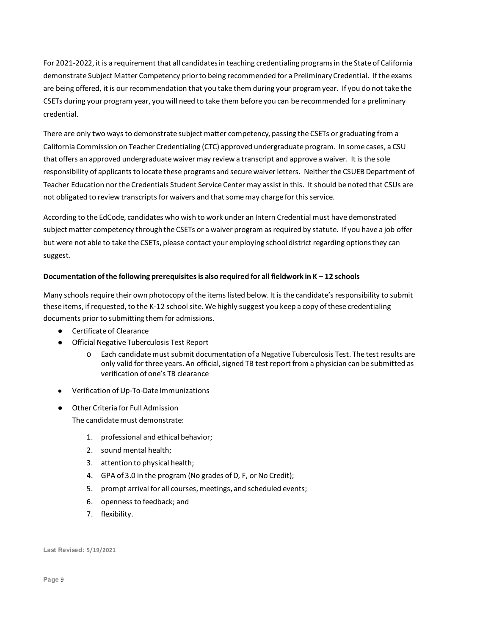For 2021-2022, it is a requirement that all candidates in teaching credentialing programs in the State of California demonstrate Subject Matter Competency prior to being recommended for a Preliminary Credential. If the exams are being offered, it is our recommendation that you take them during your program year. If you do not take the CSETs during your program year, you will need to take them before you can be recommended for a preliminary credential.

There are only two ways to demonstrate subject matter competency, passing the CSETs or graduating from a California Commission on Teacher Credentialing (CTC) approved undergraduate program. In some cases, a CSU that offers an approved undergraduate waiver may review a transcript and approve a waiver. It is the sole responsibility of applicants to locate these programs and secure waiver letters. Neither the CSUEB Department of Teacher Education nor the Credentials Student Service Center may assist in this. It should be noted that CSUs are not obligated to review transcripts for waivers and that some may charge for this service.

According to the EdCode, candidates who wish to work under an Intern Credential must have demonstrated subject matter competency through the CSETs or a waiver program as required by statute. If you have a job offer but were not able to take the CSETs, please contact your employing school district regarding options they can suggest.

#### **Documentation of the following prerequisites is also required for all fieldwork in K – 12 schools**

Many schools require their own photocopy of the items listed below. It is the candidate's responsibility to submit these items, if requested, to the K-12 school site. We highly suggest you keep a copy of these credentialing documents prior to submitting them for admissions.

- Certificate of Clearance
- Official Negative Tuberculosis Test Report
	- o Each candidate must submit documentation of a Negative Tuberculosis Test. The test results are only valid for three years. An official, signed TB test report from a physician can be submitted as verification of one's TB clearance
- Verification of Up-To-Date Immunizations
- Other Criteria for Full Admission The candidate must demonstrate:
	- 1. professional and ethical behavior;
	- 2. sound mental health;
	- 3. attention to physical health;
	- 4. GPA of 3.0 in the program (No grades of D, F, or No Credit);
	- 5. prompt arrival for all courses, meetings, and scheduled events;
	- 6. openness to feedback; and
	- 7. flexibility.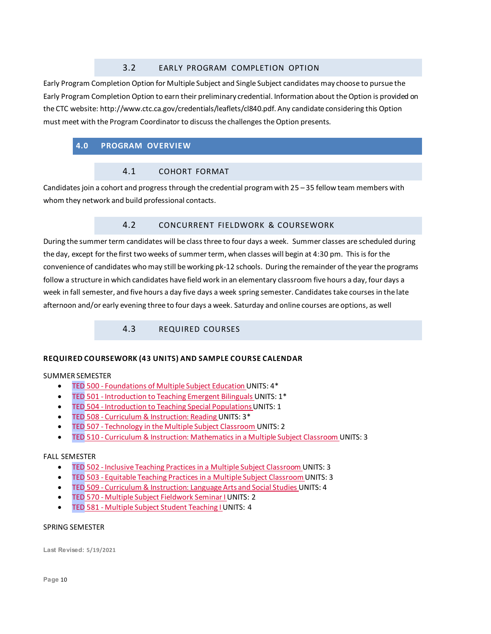# 3.2 EARLY PROGRAM COMPLETION OPTION

<span id="page-9-0"></span>Early Program Completion Option for Multiple Subject and Single Subject candidates may choose to pursue the Early Program Completion Option to earn their preliminary credential. Information about the Option is provided on the CTC website: http://www.ctc.ca.gov/credentials/leaflets/cl840.pdf. Any candidate considering this Option must meet with the Program Coordinator to discuss the challenges the Option presents.

# <span id="page-9-1"></span>**4.0 PROGRAM OVERVIEW**

#### 4.1 COHORT FORMAT

<span id="page-9-2"></span>Candidates join a cohort and progress through the credential program with 25 – 35 fellow team members with whom they network and build professional contacts.

# 4.2 CONCURRENT FIELDWORK & COURSEWORK

<span id="page-9-3"></span>During the summer term candidates will be class three to four days a week. Summer classes are scheduled during the day, except for the first two weeks of summer term, when classes will begin at 4:30 pm. This is for the convenience of candidates who may still be working pk-12 schools. During the remainder of the year the programs follow a structure in which candidates have field work in an elementary classroom five hours a day, four days a week in fall semester, and five hours a day five days a week spring semester. Candidates take courses in the late afternoon and/or early evening three to four days a week. Saturday and online courses are options, as well

# 4.3 REQUIRED COURSES

#### <span id="page-9-4"></span>**REQUIRED COURSEWORK (43 UNITS) AND SAMPLE COURSE CALENDAR**

#### SUMMER SEMESTER

- TED 500 [Foundations](http://catalog.csueastbay.edu/preview_program.php?catoid=21&poid=8453&hl=%22ted%22&returnto=search) of Multiple Subject Education UNITS: 4\*
- TED 501 [Introduction](http://catalog.csueastbay.edu/preview_program.php?catoid=21&poid=8453&hl=%22ted%22&returnto=search) to Teaching Emergent Bilinguals UNITS: 1\*
- TED 504 Introduction to Teaching Special Populations UNITS: 1
- TED 508 Curriculum & [Instruction:](http://catalog.csueastbay.edu/preview_program.php?catoid=21&poid=8453&hl=%22ted%22&returnto=search) Reading UNITS: 3\*
- TED 507 [Technology](http://catalog.csueastbay.edu/preview_program.php?catoid=21&poid=8453&hl=%22ted%22&returnto=search) in the Multiple Subject Classroom UNITS: 2
- TED 510 Curriculum & Instruction: [Mathematics](http://catalog.csueastbay.edu/preview_program.php?catoid=21&poid=8453&hl=%22ted%22&returnto=search) in a Multiple Subject Classroom UNITS: 3

#### FALL SEMESTER

- TED 502 Inclusive Teaching Practices in a Multiple Subject [Classroom](http://catalog.csueastbay.edu/preview_program.php?catoid=21&poid=8453&hl=%22ted%22&returnto=search) UNITS: 3
- TED 503 Equitable Teaching Practices in a Multiple Subject [ClassroomU](http://catalog.csueastbay.edu/preview_program.php?catoid=21&poid=8453&hl=%22ted%22&returnto=search)NITS: 3
- TED 509 Curriculum & [Instruction:](http://catalog.csueastbay.edu/preview_program.php?catoid=21&poid=8453&hl=%22ted%22&returnto=search) Language Arts and Social Studies UNITS: 4
- TED 570 Multiple Subject [Fieldwork](http://catalog.csueastbay.edu/preview_program.php?catoid=21&poid=8453&hl=%22ted%22&returnto=search) Seminar I UNITS: 2
- TED 581 Multiple Subject Student [Teaching](http://catalog.csueastbay.edu/preview_program.php?catoid=21&poid=8453&hl=%22ted%22&returnto=search) I UNITS: 4

#### SPRING SEMESTER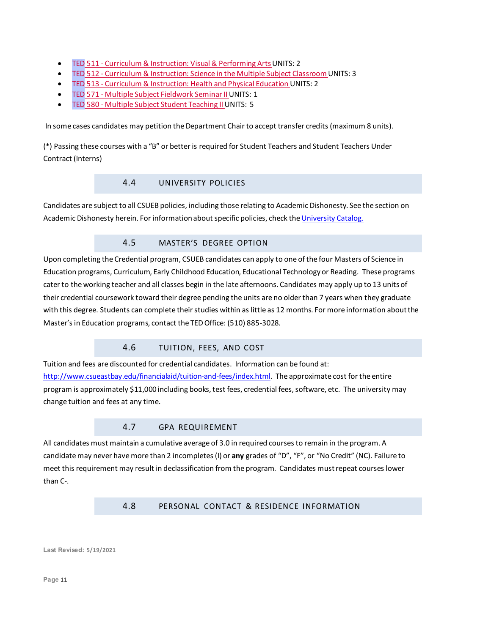- TED 511 Curriculum & [Instruction:](http://catalog.csueastbay.edu/preview_program.php?catoid=21&poid=8453&hl=%22ted%22&returnto=search) Visual & Performing ArtsUNITS: 2
- TED 512 Curriculum & [Instruction:](http://catalog.csueastbay.edu/preview_program.php?catoid=21&poid=8453&hl=%22ted%22&returnto=search) Science in the Multiple Subject ClassroomUNITS: 3
- TED 513 Curriculum & [Instruction:](http://catalog.csueastbay.edu/preview_program.php?catoid=21&poid=8453&hl=%22ted%22&returnto=search) Health and Physical Education UNITS: 2
- TED 571 Multiple Subject [Fieldwork](http://catalog.csueastbay.edu/preview_program.php?catoid=21&poid=8453&hl=%22ted%22&returnto=search) Seminar II UNITS: 1
- TED 580 Multiple Subject Student [Teaching](http://catalog.csueastbay.edu/preview_program.php?catoid=21&poid=8453&hl=%22ted%22&returnto=search) II UNITS: 5

In some cases candidates may petition the Department Chair to accept transfer credits (maximum 8 units).

(\*) Passing these courses with a "B" or better is required for Student Teachers and Student Teachers Under Contract (Interns)

# 4.4 UNIVERSITY POLICIES

<span id="page-10-0"></span>Candidates are subject to all CSUEB policies, including those relating to Academic Dishonesty. See the section on Academic Dishonesty herein. For information about specific policies, check th[e University Catalog.](uniovhttp://catalog.csueastbay.edu/)

# 4.5 MASTER'S DEGREE OPTION

<span id="page-10-1"></span>Upon completing the Credential program, CSUEB candidates can apply to one of the four Masters of Science in Education programs, Curriculum, Early Childhood Education, Educational Technology or Reading. These programs cater to the working teacher and all classes begin in the late afternoons. Candidates may apply up to 13 units of their credential coursework toward their degree pending the units are no older than 7 years when they graduate with this degree. Students can complete their studies within as little as 12 months. For more information about the Master's in Education programs, contact the TED Office: (510) 885-3028.

# 4.6 TUITION, FEES, AND COST

<span id="page-10-2"></span>Tuition and fees are discounted for credential candidates. Information can be found at: [http://www.csueastbay.edu/financialaid/tuition-and-fees/index.html.](http://www.csueastbay.edu/financialaid/tuition-and-fees/index.html) The approximate cost for the entire program is approximately \$11,000 including books, test fees, credential fees, software, etc. The university may change tuition and fees at any time.

# 4.7 GPA REQUIREMENT

<span id="page-10-4"></span><span id="page-10-3"></span>All candidates must maintain a cumulative average of 3.0 in required courses to remain in the program. A candidate may never have more than 2 incompletes (I) or **any** grades of "D", "F", or "No Credit" (NC). Failure to meet this requirement may result in declassification from the program. Candidates must repeat courses lower than C-.

# 4.8 PERSONAL CONTACT & RESIDENCE INFORMATION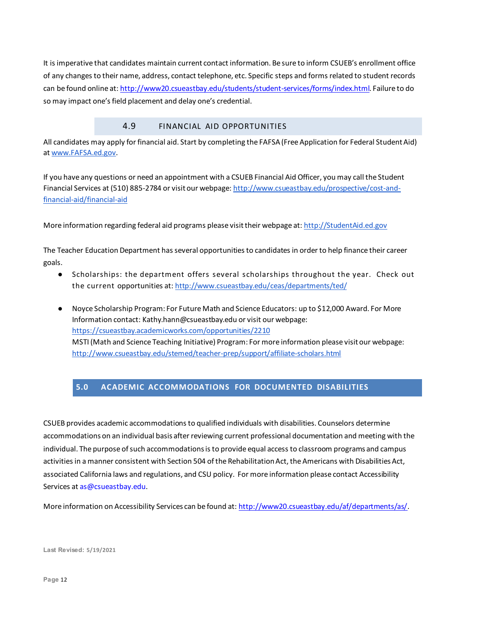It is imperative that candidates maintain current contact information. Be sure to inform CSUEB's enrollment office of any changes to their name, address, contact telephone, etc. Specific steps and forms related to student records can be found online at: [http://www20.csueastbay.edu/students/student-services/forms/index.html.](http://www20.csueastbay.edu/students/student-services/forms/index.html) Failure to do so may impact one's field placement and delay one's credential.

# 4.9 FINANCIAL AID OPPORTUNITIES

<span id="page-11-0"></span>All candidates may apply for financial aid. Start by completing the FAFSA (Free Application for Federal Student Aid) at [www.FAFSA.ed.gov.](http://www.fafsa.ed.gov/)

If you have any questions or need an appointment with a CSUEB Financial Aid Officer, you may call the Student Financial Services at (510) 885-2784 or visit our webpag[e:](http://www.csueastbay.edu/prospective/cost-and-financial-aid/financial-aid) [http://www.csueastbay.edu/prospective/cost-and](http://www.csueastbay.edu/prospective/cost-and-financial-aid/financial-aid)[financial-aid/financial-aid](http://www.csueastbay.edu/prospective/cost-and-financial-aid/financial-aid)

More information regarding federal aid programs please visit their webpage a[t:](http://studentaid.ed.gov/) [http://StudentAid.ed.gov](http://studentaid.ed.gov/)

The Teacher Education Department has several opportunities to candidates in order to help finance their career goals.

- Scholarships: the department offers several scholarships throughout the year. Check out the current opportunities a[t:](http://www.csueastbay.edu/ceas/departments/ted/) <http://www.csueastbay.edu/ceas/departments/ted/>
- Noyce Scholarship Program: For Future Math and Science Educators: up to \$12,000 Award. For More Information contact: Kathy.hann@csueastbay.edu or visit our webpag[e:](https://csueastbay.academicworks.com/opportunities/2210) <https://csueastbay.academicworks.com/opportunities/2210> MSTI (Math and Science Teaching Initiative) Program: For more information please visit our webpag[e:](http://www.csueastbay.edu/stemed/teacher-prep/support/affiliate-scholars.html) <http://www.csueastbay.edu/stemed/teacher-prep/support/affiliate-scholars.html>

# <span id="page-11-1"></span>**5.0 ACADEMIC ACCOMMODATIONS FOR DOCUMENTED DISABILITIES**

CSUEB provides academic accommodations to qualified individuals with disabilities. Counselors determine accommodations on an individual basis after reviewing current professional documentation and meeting with the individual. The purpose of such accommodations is to provide equal access to classroom programs and campus activities in a manner consistent with Section 504 of the Rehabilitation Act, the Americans with Disabilities Act, associated California laws and regulations, and CSU policy. For more information please contact Accessibility Services a[t as@csueastbay.edu.](mailto:as@csueastbay.edu)

More information on Accessibility Services can be found at[: http://www20.csueastbay.edu/af/departments/as/.](http://www20.csueastbay.edu/af/departments/as/)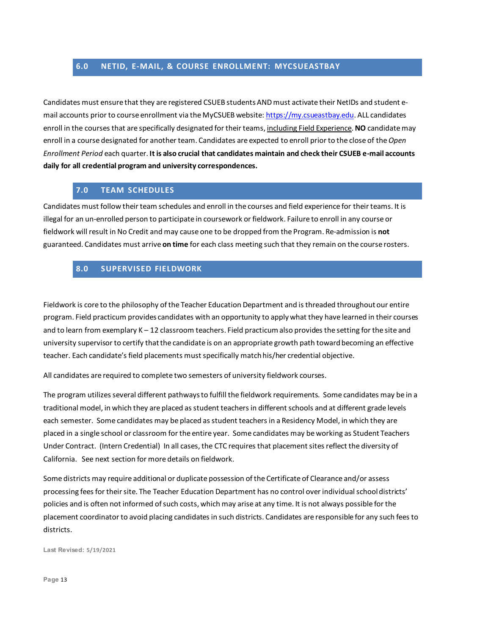#### <span id="page-12-0"></span>**6.0 NETID, E-MAIL, & COURSE ENROLLMENT: MYCSUEASTBAY**

Candidates must ensure that they are registered CSUEB students AND must activate their NetIDs and student e-mail accounts prior to course enrollment via the MyCSUEB website[: https://my.csueastbay.edu.](https://my.csueastbay.edu/) ALL candidates enroll in the courses that are specifically designated for their teams, including Field Experience. **NO** candidate may enroll in a course designated for another team. Candidates are expected to enroll prior to the close of the *Open Enrollment Period* each quarter. **It is also crucial that candidates maintain and check their CSUEB e-mail accounts daily for all credential program and university correspondences.**

#### **7.0 TEAM SCHEDULES**

<span id="page-12-1"></span>Candidates must follow their team schedules and enroll in the courses and field experience for their teams. It is illegal for an un-enrolled person to participate in coursework or fieldwork. Failure to enroll in any course or fieldwork will result in No Credit and may cause one to be dropped from the Program. Re-admission is **not**  guaranteed. Candidates must arrive **on time** for each class meeting such that they remain on the course rosters.

#### <span id="page-12-2"></span>**8.0 SUPERVISED FIELDWORK**

Fieldwork is core to the philosophy of the Teacher Education Department and is threaded throughout our entire program. Field practicum provides candidates with an opportunity to apply what they have learned in their courses and to learn from exemplary K - 12 classroom teachers. Field practicum also provides the setting for the site and university supervisor to certify that the candidate is on an appropriate growth path toward becoming an effective teacher. Each candidate's field placements must specifically match his/her credential objective.

All candidates are required to complete two semesters of university fieldwork courses.

The program utilizes several different pathways to fulfill the fieldwork requirements. Some candidates may be in a traditional model, in which they are placed as student teachers in different schools and at different grade levels each semester. Some candidates may be placed as student teachers in a Residency Model, in which they are placed in a single school or classroom for the entire year. Some candidates may be working as Student Teachers Under Contract. (Intern Credential) In all cases, the CTC requires that placement sites reflect the diversity of California. See next section for more details on fieldwork.

Some districts may require additional or duplicate possession of the Certificate of Clearance and/or assess processing fees for their site. The Teacher Education Department has no control over individual school districts' policies and is often not informed of such costs, which may arise at any time. It is not always possible for the placement coordinator to avoid placing candidates in such districts. Candidates are responsible for any such fees to districts.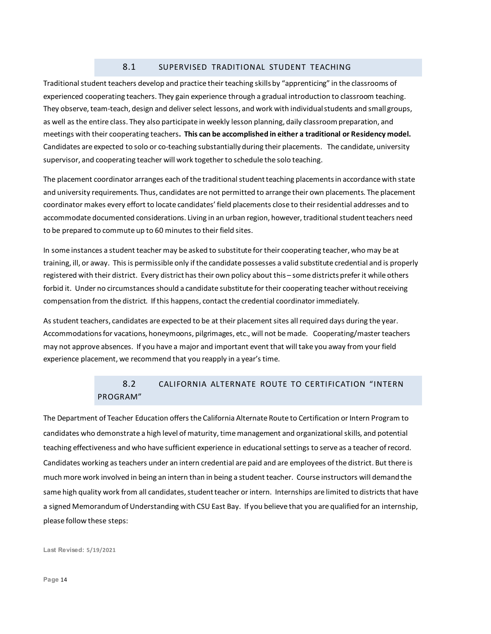#### 8.1 SUPERVISED TRADITIONAL STUDENT TEACHING

<span id="page-13-0"></span>Traditional student teachers develop and practice their teaching skills by "apprenticing" in the classrooms of experienced cooperating teachers. They gain experience through a gradual introduction to classroom teaching. They observe, team-teach, design and deliver select lessons, and work with individual students and small groups, as well as the entire class. They also participate in weekly lesson planning, daily classroom preparation, and meetings with their cooperating teachers**. This can be accomplished in either a traditional or Residency model.** Candidates are expected to solo or co-teaching substantially during their placements. The candidate, university supervisor, and cooperating teacher will work together to schedule the solo teaching.

The placement coordinator arranges each of the traditional student teaching placements in accordance with state and university requirements. Thus, candidates are not permitted to arrange their own placements. The placement coordinator makes every effort to locate candidates' field placements close to their residential addresses and to accommodate documented considerations. Living in an urban region, however, traditional student teachers need to be prepared to commute up to 60 minutes to their field sites.

In some instances a student teacher may be asked to substitute for their cooperating teacher, who may be at training, ill, or away. This is permissible only if the candidate possesses a valid substitute credential and is properly registered with their district. Every district has their own policy about this – some districts prefer it while others forbid it. Under no circumstances should a candidate substitute for their cooperating teacher without receiving compensation from the district. If this happens, contact the credential coordinator immediately.

As student teachers, candidates are expected to be at their placement sites all required days during the year. Accommodations for vacations, honeymoons, pilgrimages, etc., will not be made. Cooperating/master teachers may not approve absences. If you have a major and important event that will take you away from your field experience placement, we recommend that you reapply in a year's time.

# 8.2 CALIFORNIA ALTERNATE ROUTE TO CERTIFICATION "INTERN PROGRAM"

<span id="page-13-1"></span>The Department of Teacher Education offers the California Alternate Route to Certification or Intern Program to candidates who demonstrate a high level of maturity, time management and organizational skills, and potential teaching effectiveness and who have sufficient experience in educational settings to serve as a teacher of record. Candidates working as teachers under an intern credential are paid and are employees of the district. But there is much more work involved in being an intern than in being a student teacher. Course instructors will demand the same high quality work from all candidates, student teacher or intern. Internships are limited to districts that have a signed Memorandum of Understanding with CSU East Bay. If you believe that you are qualified for an internship, please follow these steps: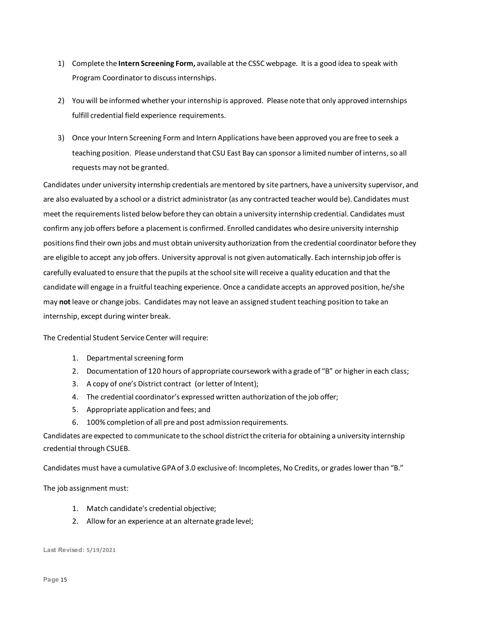- 1) Complete the **Intern Screening Form,** available at the CSSC webpage.It is a good idea to speak with Program Coordinator to discuss internships.
- 2) You will be informed whether your internship is approved. Please note that only approved internships fulfill credential field experience requirements.
- 3) Once your Intern Screening Form and Intern Applications have been approved you are free to seek a teaching position. Please understand that CSU East Bay can sponsor a limited number of interns, so all requests may not be granted.

Candidates under university internship credentials are mentored by site partners, have a university supervisor, and are also evaluated by a school or a district administrator (as any contracted teacher would be). Candidates must meet the requirements listed below before they can obtain a university internship credential. Candidates must confirm any job offers before a placement is confirmed. Enrolled candidates who desire university internship positions find their own jobs and must obtain university authorization from the credential coordinator before they are eligible to accept any job offers. University approval is not given automatically. Each internship job offer is carefully evaluated to ensure that the pupils at the school site will receive a quality education and that the candidate will engage in a fruitful teaching experience. Once a candidate accepts an approved position, he/she may **not** leave or change jobs. Candidates may not leave an assigned student teaching position to take an internship, except during winter break.

The Credential Student Service Center will require:

- 1. Departmental screening form
- 2. Documentation of 120 hours of appropriate coursework with a grade of "B" or higher in each class;
- 3. A copy of one's District contract (or letter of Intent);
- 4. The credential coordinator's expressed written authorization of the job offer;
- 5. Appropriate application and fees; and
- 6. 100% completion of all pre and post admission requirements.

Candidates are expected to communicate to the school district the criteria for obtaining a university internship credential through CSUEB.

Candidates must have a cumulative GPA of 3.0 exclusive of: Incompletes, No Credits, or grades lower than "B."

The job assignment must:

- 1. Match candidate's credential objective;
- 2. Allow for an experience at an alternate grade level;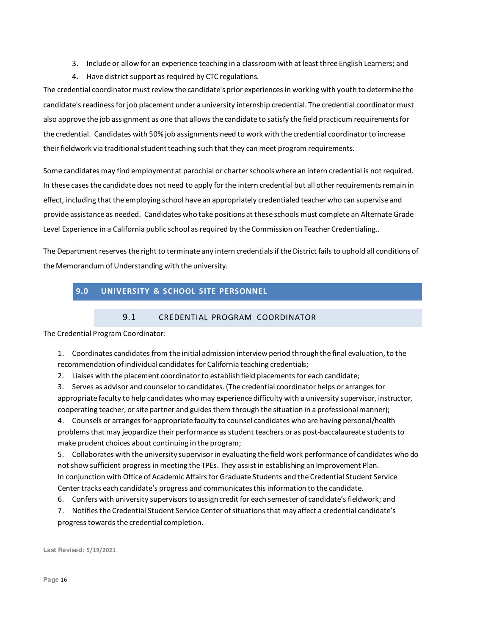- 3. Include or allow for an experience teaching in a classroom with at least three English Learners; and
- 4. Have district support as required by CTC regulations.

The credential coordinator must review the candidate's prior experiences in working with youth to determine the candidate's readiness for job placement under a university internship credential. The credential coordinator must also approve the job assignment as one that allows the candidate to satisfy the field practicum requirements for the credential. Candidates with 50% job assignments need to work with the credential coordinator to increase their fieldwork via traditional student teaching such that they can meet program requirements.

Some candidates may find employment at parochial or charter schools where an intern credential is not required. In these cases the candidate does not need to apply for the intern credential but all other requirements remain in effect, including that the employing school have an appropriately credentialed teacher who can supervise and provide assistance as needed. Candidates who take positions at these schools must complete an Alternate Grade Level Experience in a California public school as required by the Commission on Teacher Credentialing..

The Department reserves the right to terminate any intern credentials if the District fails to uphold all conditions of the Memorandum of Understanding with the university.

# <span id="page-15-0"></span>**9.0 UNIVERSITY & SCHOOL SITE PERSONNEL**

# 9.1 CREDENTIAL PROGRAM COORDINATOR

<span id="page-15-1"></span>The Credential Program Coordinator:

1. Coordinates candidates from the initial admission interview period through the final evaluation, to the recommendation of individual candidates for California teaching credentials;

2. Liaises with the placement coordinator to establish field placements for each candidate;

3. Serves as advisor and counselor to candidates. (The credential coordinator helps or arranges for appropriate faculty to help candidates who may experience difficulty with a university supervisor, instructor, cooperating teacher, or site partner and guides them through the situation in a professional manner);

4. Counsels or arranges for appropriate faculty to counsel candidates who are having personal/health problems that may jeopardize their performance as student teachers or as post-baccalaureate students to make prudent choices about continuing in the program;

5. Collaborates with the university supervisor in evaluating the field work performance of candidates who do not show sufficient progress in meeting the TPEs. They assist in establishing an Improvement Plan. In conjunction with Office of Academic Affairs for Graduate Students and the Credential Student Service Center tracks each candidate's progress and communicates this information to the candidate.

6. Confers with university supervisors to assign credit for each semester of candidate's fieldwork; and

7. Notifies the Credential Student Service Center of situations that may affect a credential candidate's progress towards the credential completion.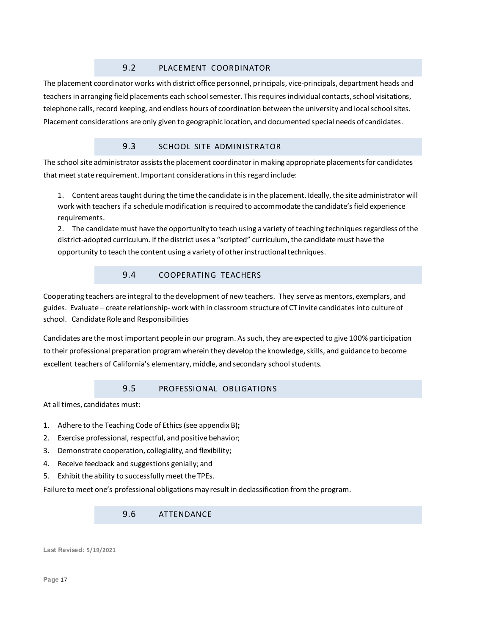# 9.2 PLACEMENT COORDINATOR

<span id="page-16-0"></span>The placement coordinator works with district office personnel, principals, vice-principals, department heads and teachers in arranging field placements each school semester. This requires individual contacts, school visitations, telephone calls, record keeping, and endless hours of coordination between the university and local school sites. Placement considerations are only given to geographic location, and documented special needs of candidates.

# 9.3 SCHOOL SITE ADMINISTRATOR

<span id="page-16-1"></span>The school site administrator assists the placement coordinator in making appropriate placements for candidates that meet state requirement. Important considerations in this regard include:

1. Content areas taught during the time the candidate is in the placement. Ideally, the site administrator will work with teachers if a schedule modification is required to accommodate the candidate's field experience requirements.

2. The candidate must have the opportunity to teach using a variety of teaching techniques regardless of the district-adopted curriculum. If the district uses a "scripted" curriculum, the candidate must have the opportunity to teach the content using a variety of other instructional techniques.

# 9.4 COOPERATING TEACHERS

<span id="page-16-2"></span>Cooperating teachers are integral to the development of new teachers. They serve as mentors, exemplars, and guides. Evaluate – create relationship- work with in classroom structure of CT invite candidates into culture of school. Candidate Role and Responsibilities

Candidates are the most important people in our program. As such, they are expected to give 100% participation to their professional preparation program wherein they develop the knowledge, skills, and guidance to become excellent teachers of California's elementary, middle, and secondary school students.

# 9.5 PROFESSIONAL OBLIGATIONS

<span id="page-16-3"></span>At all times, candidates must:

- 1. Adhere to the Teaching Code of Ethics (see appendix B)**;**
- 2. Exercise professional, respectful, and positive behavior;
- 3. Demonstrate cooperation, collegiality, and flexibility;
- 4. Receive feedback and suggestions genially; and
- 5. Exhibit the ability to successfully meet the TPEs.

<span id="page-16-4"></span>Failure to meet one's professional obligations may result in declassification from the program.

# 9.6 ATTENDANCE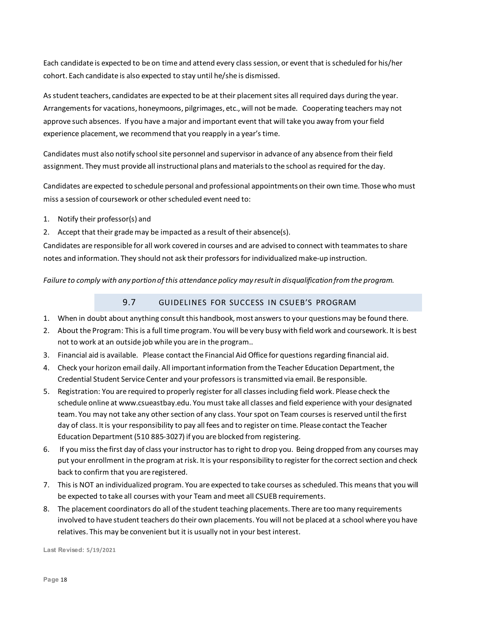Each candidate is expected to be on time and attend every class session, or event that is scheduled for his/her cohort. Each candidate is also expected to stay until he/she is dismissed.

As student teachers, candidates are expected to be at their placement sites all required days during the year. Arrangements for vacations, honeymoons, pilgrimages, etc., will not be made. Cooperating teachers may not approve such absences. If you have a major and important event that will take you away from your field experience placement, we recommend that you reapply in a year's time.

Candidates must also notify school site personnel and supervisor in advance of any absence from their field assignment. They must provide all instructional plans and materials to the school as required for the day.

Candidates are expected to schedule personal and professional appointments on their own time. Those who must miss a session of coursework or other scheduled event need to:

- 1. Notify their professor(s) and
- 2. Accept that their grade may be impacted as a result of their absence(s).

Candidates are responsible for all work covered in courses and are advised to connect with teammates to share notes and information. They should not ask their professors for individualized make-up instruction.

<span id="page-17-0"></span>*Failure to comply with any portion of this attendance policy may result in disqualification from the program.*

# 9.7 GUIDELINES FOR SUCCESS IN CSUEB'S PROGRAM

- 1. When in doubt about anything consult this handbook, most answers to your questions may be found there.
- 2. About the Program: This is a full time program. You will be very busy with field work and coursework. It is best not to work at an outside job while you are in the program..
- 3. Financial aid is available. Please contact the Financial Aid Office for questions regarding financial aid.
- 4. Check your horizon email daily. All important information from the Teacher Education Department, the Credential Student Service Center and your professors is transmitted via email. Be responsible.
- 5. Registration: You are required to properly register for all classes including field work. Please check the schedule online at www.csueastbay.edu. You must take all classes and field experience with your designated team. You may not take any other section of any class. Yourspot on Team courses is reserved until the first day of class. It is your responsibility to pay all fees and to register on time. Please contact the Teacher Education Department (510 885-3027) if you are blocked from registering.
- 6. If you miss the first day of class your instructor has to right to drop you. Being dropped from any courses may put your enrollment in the program at risk. It is your responsibility to register for the correct section and check back to confirm that you are registered.
- 7. This is NOT an individualized program. You are expected to take courses as scheduled. This means that you will be expected to take all courses with your Team and meet all CSUEB requirements.
- 8. The placement coordinators do all of the student teaching placements. There are too many requirements involved to have student teachers do their own placements. You will not be placed at a school where you have relatives. This may be convenient but it is usually not in your best interest.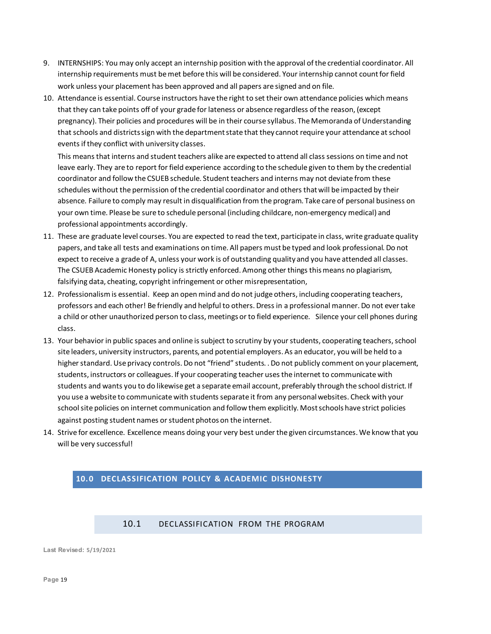- 9. INTERNSHIPS: You may only accept an internship position with the approval of the credential coordinator. All internship requirements must be met before this will be considered. Your internship cannot count for field work unless your placement has been approved and all papers are signed and on file.
- 10. Attendance is essential. Course instructors have the right to set their own attendance policies which means that they can take points off of your grade for lateness or absence regardless of the reason, (except pregnancy). Their policies and procedures will be in their course syllabus. The Memoranda of Understanding that schools and districts sign with the department state that they cannot require your attendance at school events if they conflict with university classes.

This means that interns and student teachers alike are expected to attend all class sessions on time and not leave early. They are to report for field experience according to the schedule given to them by the credential coordinator and follow the CSUEB schedule. Student teachers and interns may not deviate from these schedules without the permission of the credential coordinator and others that will be impacted by their absence. Failure to comply may result in disqualification from the program. Take care of personal business on your own time. Please be sure to schedule personal (including childcare, non-emergency medical) and professional appointments accordingly.

- 11. These are graduate level courses. You are expected to read the text, participate in class, write graduate quality papers, and take all tests and examinations on time. All papers must be typed and look professional. Do not expect to receive a grade of A, unless your work is of outstanding quality and you have attended all classes. The CSUEB Academic Honesty policy is strictly enforced. Among other things this means no plagiarism, falsifying data, cheating, copyright infringement or other misrepresentation,
- 12. Professionalism is essential. Keep an open mind and do not judge others, including cooperating teachers, professors and each other! Be friendly and helpful to others. Dress in a professional manner. Do not ever take a child or other unauthorized person to class, meetings or to field experience. Silence your cell phones during class.
- 13. Your behavior in public spaces and online is subject to scrutiny by your students, cooperating teachers, school site leaders, university instructors, parents, and potential employers. As an educator, you will be held to a higher standard. Use privacy controls. Do not "friend" students. . Do not publicly comment on your placement, students, instructors or colleagues. If your cooperating teacher uses the internet to communicate with students and wants you to do likewise get a separate email account, preferably through the school district. If you use a website to communicate with students separate it from any personal websites. Check with your school site policies on internet communication and follow them explicitly. Most schools have strict policies against posting student names or student photos on the internet.
- <span id="page-18-0"></span>14. Strive for excellence. Excellence means doing your very best under the given circumstances. We know that you will be very successful!

# <span id="page-18-1"></span>**10.0 DECLASSIFICATION POLICY & ACADEMIC DISHONESTY**

#### 10.1 DECLASSIFICATION FROM THE PROGRAM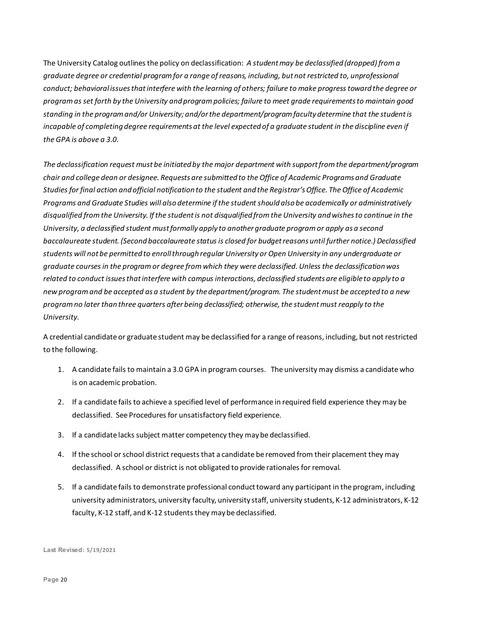The University Catalog outlines the policy on declassification: *A student may be declassified (dropped) from a graduate degree or credential program for a range of reasons, including, but not restricted to, unprofessional conduct; behavioral issues thatinterfere with the learning of others; failure to make progress toward the degree or program as set forth by the University and program policies; failure to meet grade requirements to maintain good standing in the program and/or University; and/or the department/program faculty determine that the student is*  incapable of completing degree requirements at the level expected of a graduate student in the discipline even if *the GPA is above a 3.0.*

*The declassification request must be initiated by the major department with support from the department/program chair and college dean or designee. Requests are submitted to the Office of Academic Programs and Graduate Studies for final action and official notification to the student and the Registrar's Office. The Office of Academic Programs and Graduate Studies will also determine if the student should also be academically or administratively disqualified from the University. If the student is not disqualified from the University and wishes to continue in the University, a declassified student must formally apply to another graduate program or apply as a second baccalaureate student. (Second baccalaureate status is closed for budget reasons until further notice.) Declassified students will not be permitted to enroll through regular University or Open University in any undergraduate or graduate courses in the program or degree from which they were declassified. Unless the declassificationwas related to conduct issues that interfere with campus interactions, declassified students are eligible to apply to a new program and be accepted as a student by the department/program. The student must be accepted to a new program no later than three quarters after being declassified; otherwise, the student must reapply to the University.*

A credential candidate or graduate student may be declassified for a range of reasons, including, but not restricted to the following.

- 1. A candidate fails to maintain a 3.0 GPA in program courses. The university may dismiss a candidate who is on academic probation.
- 2. If a candidate fails to achieve a specified level of performance in required field experience they may be declassified. See Procedures for unsatisfactory field experience.
- 3. If a candidate lacks subject matter competency they may be declassified.
- 4. If the school or school district requests that a candidate be removed from their placement they may declassified. A school or district is not obligated to provide rationales for removal.
- 5. If a candidate fails to demonstrate professional conduct toward any participant in the program, including university administrators, university faculty, university staff, university students, K-12 administrators, K-12 faculty, K-12 staff, and K-12 students they may be declassified.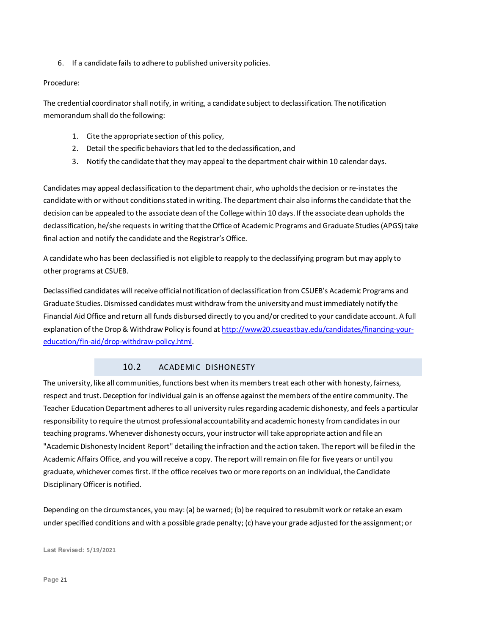6. If a candidate fails to adhere to published university policies.

#### Procedure:

The credential coordinator shall notify, in writing, a candidate subject to declassification. The notification memorandum shall do the following:

- 1. Cite the appropriate section of this policy,
- 2. Detail the specific behaviors that led to the declassification, and
- 3. Notify the candidate that they may appeal to the department chair within 10 calendar days.

Candidates may appeal declassification to the department chair, who upholds the decision or re-instates the candidate with or without conditions stated in writing. The department chair also informs the candidate that the decision can be appealed to the associate dean of the College within 10 days. If the associate dean upholds the declassification, he/she requests in writing that the Office of Academic Programs and Graduate Studies (APGS) take final action and notify the candidate and the Registrar's Office.

A candidate who has been declassified is not eligible to reapply to the declassifying program but may apply to other programs at CSUEB.

Declassified candidates will receive official notification of declassification from CSUEB's Academic Programs and Graduate Studies. Dismissed candidates must withdraw from the university and must immediately notify the Financial Aid Office and return all funds disbursed directly to you and/or credited to your candidate account. A full explanation of the Drop & Withdraw Policy is found a[t http://www20.csueastbay.edu/candidates/financing-your](http://www20.csueastbay.edu/students/financing-your-education/fin-aid/drop-withdraw-policy.html)[education/fin-aid/drop-withdraw-policy.html.](http://www20.csueastbay.edu/students/financing-your-education/fin-aid/drop-withdraw-policy.html)

# 10.2 ACADEMIC DISHONESTY

<span id="page-20-0"></span>The university, like all communities, functions best when its members treat each other with honesty, fairness, respect and trust. Deception for individual gain is an offense against the members of the entire community. The Teacher Education Department adheres to all university rules regarding academic dishonesty, and feels a particular responsibility to require the utmost professional accountability and academic honesty from candidates in our teaching programs. Whenever dishonesty occurs, your instructor will take appropriate action and file an "Academic Dishonesty Incident Report" detailing the infraction and the action taken. The report will be filed in the Academic Affairs Office, and you will receive a copy. The report will remain on file for five years or until you graduate, whichever comes first. If the office receives two or more reports on an individual, the Candidate Disciplinary Officer is notified.

Depending on the circumstances, you may: (a) be warned; (b) be required to resubmit work or retake an exam under specified conditions and with a possible grade penalty; (c) have your grade adjusted for the assignment; or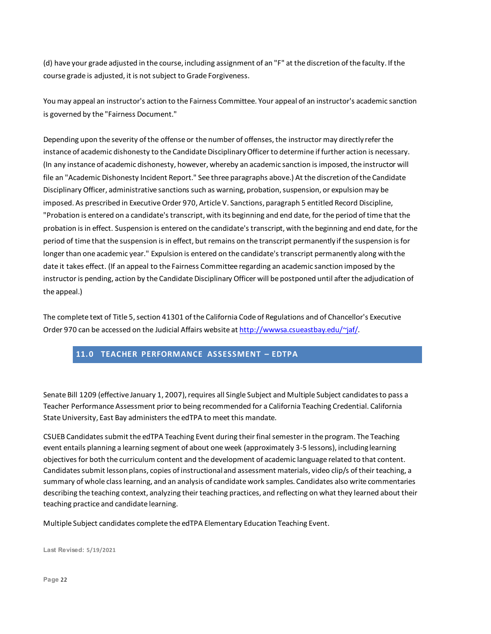(d) have your grade adjusted in the course, including assignment of an "F" at the discretion of the faculty. If the course grade is adjusted, it is not subject to Grade Forgiveness.

You may appeal an instructor's action to the Fairness Committee. Your appeal of an instructor's academic sanction is governed by the "Fairness Document."

Depending upon the severity of the offense or the number of offenses, the instructor may directly refer the instance of academic dishonesty to the Candidate Disciplinary Officer to determine if further action is necessary. (In any instance of academic dishonesty, however, whereby an academic sanction is imposed, the instructor will file an "Academic Dishonesty Incident Report." See three paragraphs above.) At the discretion of the Candidate Disciplinary Officer, administrative sanctions such as warning, probation, suspension, or expulsion may be imposed. As prescribed in Executive Order 970, Article V. Sanctions, paragraph 5 entitled Record Discipline, "Probation is entered on a candidate's transcript, with its beginning and end date, for the period of time that the probation is in effect. Suspension is entered on the candidate's transcript, with the beginning and end date, for the period of time that the suspension is in effect, but remains on the transcript permanently if the suspension is for longer than one academic year." Expulsion is entered on the candidate's transcript permanently along with the date it takes effect. (If an appeal to the Fairness Committee regarding an academic sanction imposed by the instructor is pending, action by the Candidate Disciplinary Officer will be postponed until after the adjudication of the appeal.)

<span id="page-21-0"></span>The complete text of Title 5, section 41301 of the California Code of Regulations and of Chancellor's Executive Order 970 can be accessed on the Judicial Affairs website at [http://wwwsa.csueastbay.edu/~jaf/.](http://wwwsa.csueastbay.edu/%7Ejaf/)

# **11.0 TEACHER PERFORMANCE ASSESSMENT – EDTPA**

Senate Bill 1209 (effective January 1, 2007), requires all Single Subject and Multiple Subject candidates to pass a Teacher Performance Assessment prior to being recommended for a California Teaching Credential. California State University, East Bay administers the edTPA to meet this mandate.

CSUEB Candidates submit the edTPA Teaching Event during their finalsemester in the program. The Teaching event entails planning a learning segment of about one week (approximately 3-5 lessons), including learning objectives for both the curriculum content and the development of academic language related to that content. Candidates submit lesson plans, copies of instructional and assessment materials, video clip/s of their teaching, a summary of whole class learning, and an analysis of candidate work samples. Candidates also write commentaries describing the teaching context, analyzing their teaching practices, and reflecting on what they learned about their teaching practice and candidate learning.

Multiple Subject candidates complete the edTPA Elementary Education Teaching Event.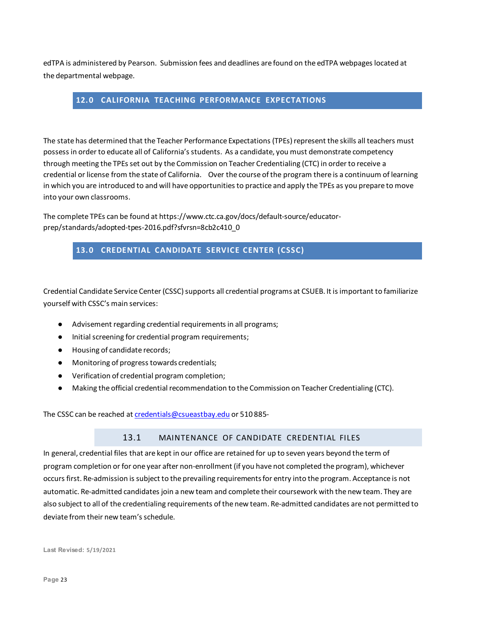<span id="page-22-0"></span>edTPA is administered by Pearson. Submission fees and deadlines are found on the edTPA webpages located at the departmental webpage.

# **12.0 CALIFORNIA TEACHING PERFORMANCE EXPECTATIONS**

The state has determined that the Teacher Performance Expectations (TPEs) represent the skills all teachers must possess in order to educate all of California's students. As a candidate, you must demonstrate competency through meeting the TPEs set out by the Commission on Teacher Credentialing (CTC) in order to receive a credential or license from the state of California. Over the course of the program there is a continuum of learning in which you are introduced to and will have opportunities to practice and apply the TPEs as you prepare to move into your own classrooms.

<span id="page-22-1"></span>The complete TPEs can be found at https://www.ctc.ca.gov/docs/default-source/educatorprep/standards/adopted-tpes-2016.pdf?sfvrsn=8cb2c410\_0

# **13.0 CREDENTIAL CANDIDATE SERVICE CENTER (CSSC)**

Credential Candidate Service Center (CSSC) supports all credential programs at CSUEB. It is important to familiarize yourself with CSSC's main services:

- Advisement regarding credential requirements in all programs;
- Initial screening for credential program requirements;
- Housing of candidate records;
- Monitoring of progress towards credentials;
- Verification of credential program completion;
- Making the official credential recommendation to the Commission on Teacher Credentialing (CTC).

<span id="page-22-2"></span>The CSSC can be reached at [credentials@csueastbay.edu](mailto:credentials@csueastbay.edu) or 510 885-

# 13.1 MAINTENANCE OF CANDIDATE CREDENTIAL FILES

In general, credential files that are kept in our office are retained for up to seven years beyond the term of program completion or for one year after non-enrollment (if you have not completed the program), whichever occurs first. Re-admission is subject to the prevailing requirements for entry into the program. Acceptance is not automatic. Re-admitted candidates join a new team and complete their coursework with the new team. They are also subject to all of the credentialing requirements of the new team. Re-admitted candidates are not permitted to deviate from their new team's schedule.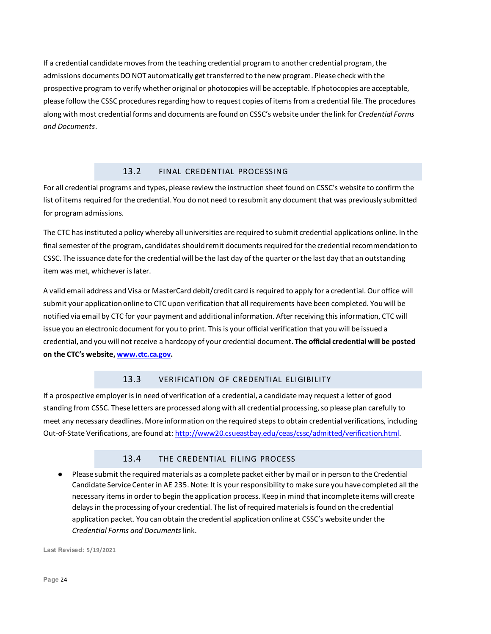If a credential candidate moves from the teaching credential program to another credential program, the admissions documents DO NOT automatically get transferred to the new program. Please check with the prospective program to verify whether original or photocopies will be acceptable. If photocopies are acceptable, please follow the CSSC procedures regarding how to request copies of items from a credential file. The procedures along with most credential forms and documents are found on CSSC's website under the link for *Credential Forms and Documents*.

#### 13.2 FINAL CREDENTIAL PROCESSING

<span id="page-23-0"></span>For all credential programs and types, please review the instruction sheet found on CSSC's website to confirm the list of items required for the credential. You do not need to resubmit any document that was previously submitted for program admissions.

The CTC has instituted a policy whereby all universities are required to submit credential applications online. In the final semester of the program, candidates should remit documents required for the credential recommendation to CSSC. The issuance date for the credential will be the last day of the quarter or the last day that an outstanding item was met, whichever is later.

A valid email address and Visa or MasterCard debit/credit card is required to apply for a credential. Our office will submit your application online to CTC upon verification that all requirements have been completed. You will be notified via email by CTC for your payment and additional information. After receiving this information, CTC will issue you an electronic document for you to print. This is your official verification that you will be issued a credential, and you will not receive a hardcopy of your credential document. **The official credential will be posted on the CTC's website[, www.ctc.ca.gov.](http://www.ctc.ca.gov/)**

# 13.3 VERIFICATION OF CREDENTIAL ELIGIBILITY

<span id="page-23-1"></span>If a prospective employer is in need of verification of a credential, a candidate may request a letter of good standing from CSSC. These letters are processed along with all credential processing, so please plan carefully to meet any necessary deadlines. More information on the required steps to obtain credential verifications, including Out-of-State Verifications, are found at[: http://www20.csueastbay.edu/ceas/cssc/admitted/verification.html.](http://www20.csueastbay.edu/ceas/cssc/admitted/verification.html)

#### 13.4 THE CREDENTIAL FILING PROCESS

<span id="page-23-2"></span>● Please submit the required materials as a complete packet either by mail or in person to the Credential Candidate Service Center in AE 235. Note: It is your responsibility to make sure you have completed all the necessary items in order to begin the application process. Keep in mind that incomplete items will create delays in the processing of your credential. The list of required materials is found on the credential application packet. You can obtain the credential application online at CSSC's website under the *Credential Forms and Documents* link.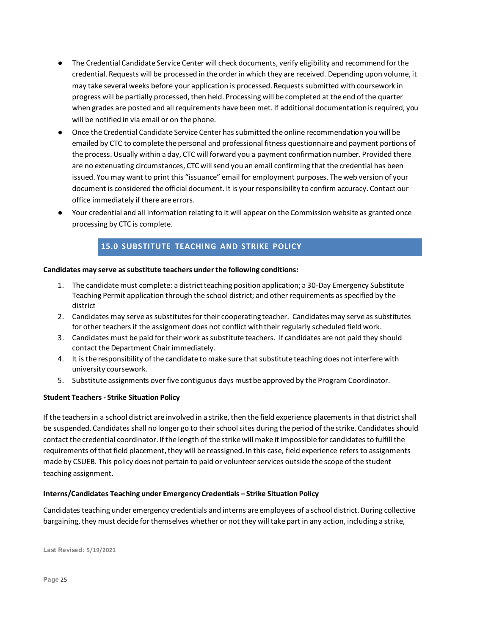- The Credential Candidate Service Center will check documents, verify eligibility and recommend for the credential. Requests will be processed in the order in which they are received. Depending upon volume, it may take several weeks before your application is processed. Requests submitted with coursework in progress will be partially processed, then held. Processing will be completed at the end of the quarter when grades are posted and all requirements have been met. If additional documentation is required, you will be notified in via email or on the phone.
- Once the Credential Candidate Service Center has submitted the online recommendation you will be emailed by CTC to complete the personal and professional fitness questionnaire and payment portions of the process. Usually within a day, CTC will forward you a payment confirmation number. Provided there are no extenuating circumstances, CTC will send you an email confirming that the credential has been issued. You may want to print this "issuance" email for employment purposes. The web version of your document is considered the official document. It is your responsibility to confirm accuracy. Contact our office immediately if there are errors.
- <span id="page-24-0"></span>● Your credential and all information relating to it will appear on the Commission website as granted once processing by CTC is complete.

# **15.0 SUBSTITUTE TEACHING AND STRIKE POLICY**

#### **Candidates may serve as substitute teachers under the following conditions:**

- 1. The candidate must complete: a district teaching position application; a 30-Day Emergency Substitute Teaching Permit application through the school district; and other requirements as specified by the district
- 2. Candidates may serve as substitutes for their cooperating teacher. Candidates may serve as substitutes for other teachers if the assignment does not conflict with their regularly scheduled field work.
- 3. Candidates must be paid for their work as substitute teachers. If candidates are not paid they should contact the Department Chair immediately.
- 4. It is the responsibility of the candidate to make sure that substitute teaching does not interfere with university coursework.
- 5. Substitute assignments over five contiguous days must be approved by the Program Coordinator.

#### **Student Teachers- Strike Situation Policy**

If the teachers in a school district are involved in a strike, then the field experience placements in that district shall be suspended. Candidates shall no longer go to their school sites during the period of the strike. Candidates should contact the credential coordinator. If the length of the strike will make it impossible for candidates to fulfill the requirements of that field placement, they will be reassigned. In this case, field experience refers to assignments made by CSUEB. This policy does not pertain to paid or volunteer services outside the scope of the student teaching assignment.

#### **Interns/Candidates Teaching under Emergency Credentials – Strike Situation Policy**

Candidates teaching under emergency credentials and interns are employees of a school district. During collective bargaining, they must decide for themselves whether or not they will take part in any action, including a strike,